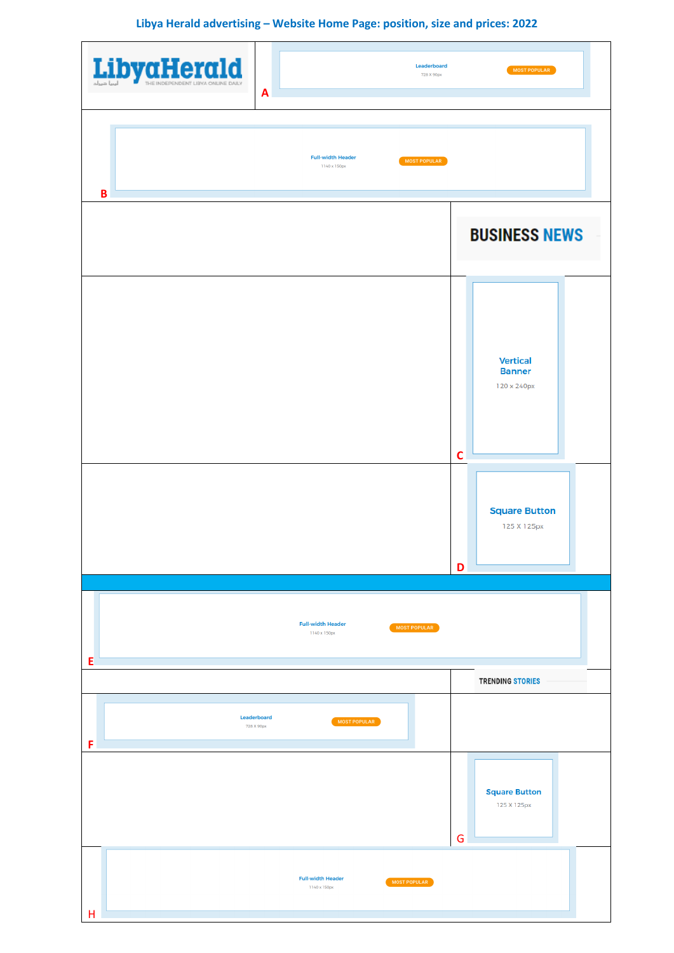**Libya Herald advertising – Website Home Page: position, size and prices: 2022**

| LibyaHerald | Leaderboard<br>728 X 90px<br>A                           | MOST POPULAR                                                                                               |  |  |
|-------------|----------------------------------------------------------|------------------------------------------------------------------------------------------------------------|--|--|
| B           | <b>Full-width Header</b><br>MOST POPULAR<br>1140 x 150px |                                                                                                            |  |  |
|             |                                                          | <b>BUSINESS NEWS</b>                                                                                       |  |  |
|             |                                                          | <b>Vertical</b><br><b>Banner</b><br>120 x 240px<br>$\mathbf c$<br><b>Square Button</b><br>125 X 125px<br>D |  |  |
|             | <b>Full-width Header</b><br>MOST POPULAR<br>1140 x 150px |                                                                                                            |  |  |
| Ε           |                                                          | <b>TRENDING STORIES</b>                                                                                    |  |  |
| F           | Leaderboard<br>MOST POPULAR<br>728 X 90px                |                                                                                                            |  |  |
|             |                                                          | <b>Square Button</b><br>125 X 125px<br>G                                                                   |  |  |
| H           | <b>Full-width Header</b><br>MOST POPULAR<br>1140 x 150px |                                                                                                            |  |  |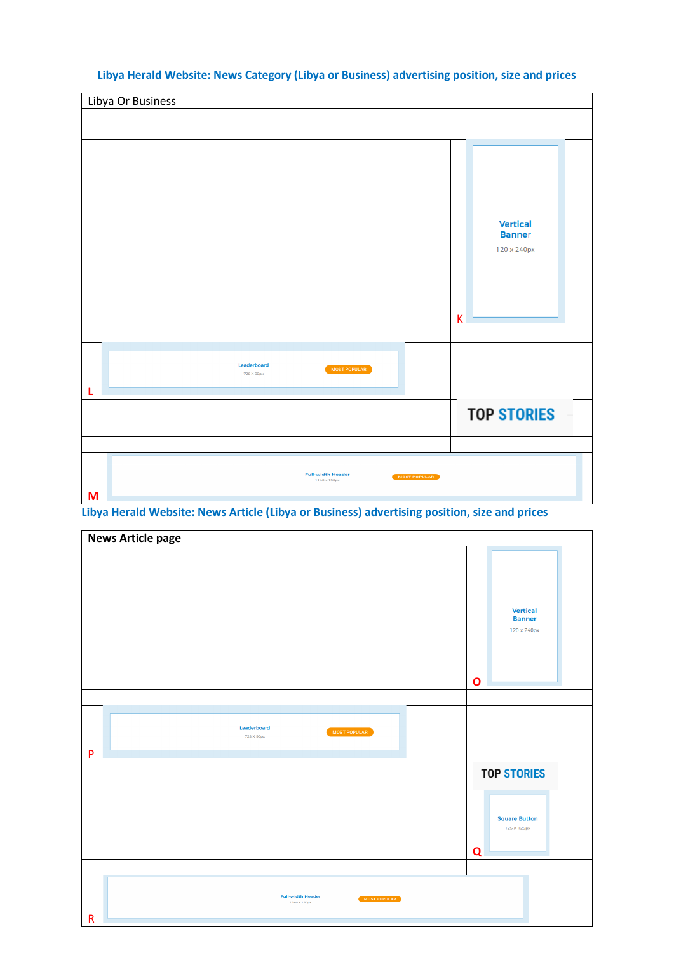## Libya Or Business **Vertical Banner** 120 x 240px K Leaderboard MOST POPULAR 728 X 90px **L TOP STORIES**

## **Libya Herald Website: News Category (Libya or Business) advertising position, size and prices**

**Libya Herald Website: News Article (Libya or Business) advertising position, size and prices**

**Full-width Header**<br>1140 x 150px

MOST POPULAR

**M**